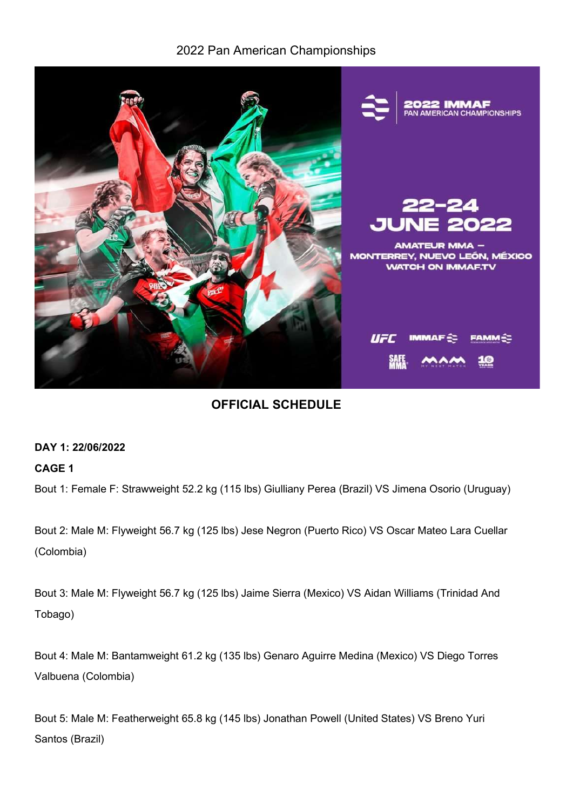## 2022 Pan American Championships



# OFFICIAL SCHEDULE

### DAY 1: 22/06/2022

### CAGE 1

Bout 1: Female F: Strawweight 52.2 kg (115 lbs) Giulliany Perea (Brazil) VS Jimena Osorio (Uruguay)

Bout 2: Male M: Flyweight 56.7 kg (125 lbs) Jese Negron (Puerto Rico) VS Oscar Mateo Lara Cuellar (Colombia)

Bout 3: Male M: Flyweight 56.7 kg (125 lbs) Jaime Sierra (Mexico) VS Aidan Williams (Trinidad And Tobago)

Bout 4: Male M: Bantamweight 61.2 kg (135 lbs) Genaro Aguirre Medina (Mexico) VS Diego Torres Valbuena (Colombia)

Bout 5: Male M: Featherweight 65.8 kg (145 lbs) Jonathan Powell (United States) VS Breno Yuri Santos (Brazil)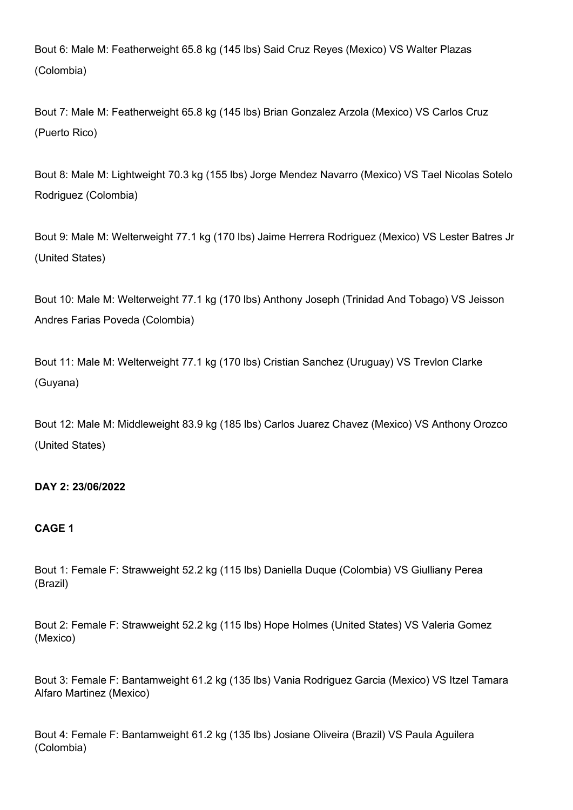Bout 6: Male M: Featherweight 65.8 kg (145 lbs) Said Cruz Reyes (Mexico) VS Walter Plazas (Colombia)

Bout 7: Male M: Featherweight 65.8 kg (145 lbs) Brian Gonzalez Arzola (Mexico) VS Carlos Cruz (Puerto Rico)

Bout 8: Male M: Lightweight 70.3 kg (155 lbs) Jorge Mendez Navarro (Mexico) VS Tael Nicolas Sotelo Rodriguez (Colombia)

Bout 9: Male M: Welterweight 77.1 kg (170 lbs) Jaime Herrera Rodriguez (Mexico) VS Lester Batres Jr (United States)

Bout 10: Male M: Welterweight 77.1 kg (170 lbs) Anthony Joseph (Trinidad And Tobago) VS Jeisson Andres Farias Poveda (Colombia)

Bout 11: Male M: Welterweight 77.1 kg (170 lbs) Cristian Sanchez (Uruguay) VS Trevlon Clarke (Guyana)

Bout 12: Male M: Middleweight 83.9 kg (185 lbs) Carlos Juarez Chavez (Mexico) VS Anthony Orozco (United States)

### DAY 2: 23/06/2022

### CAGE 1

Bout 1: Female F: Strawweight 52.2 kg (115 lbs) Daniella Duque (Colombia) VS Giulliany Perea (Brazil)

Bout 2: Female F: Strawweight 52.2 kg (115 lbs) Hope Holmes (United States) VS Valeria Gomez (Mexico)

Bout 3: Female F: Bantamweight 61.2 kg (135 lbs) Vania Rodriguez Garcia (Mexico) VS Itzel Tamara Alfaro Martinez (Mexico)

Bout 4: Female F: Bantamweight 61.2 kg (135 lbs) Josiane Oliveira (Brazil) VS Paula Aguilera (Colombia)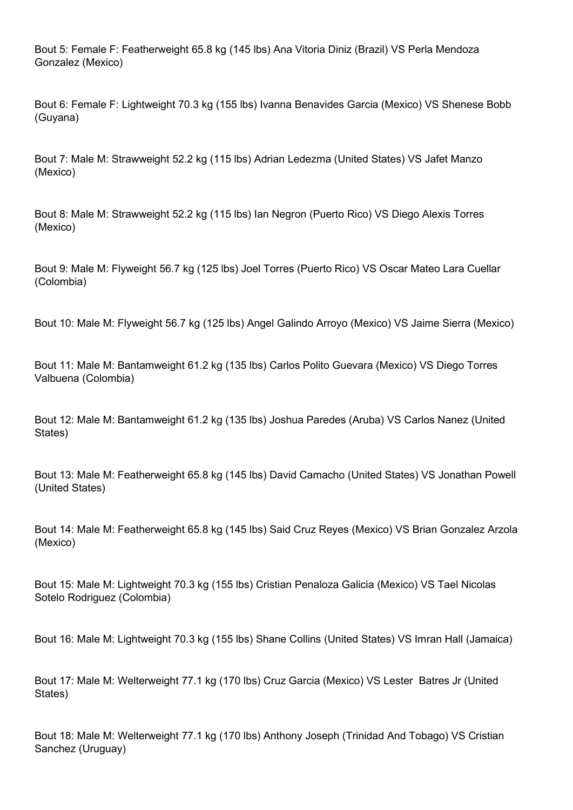Bout 5: Female F: Featherweight 65.8 kg (145 lbs) Ana Vitoria Diniz (Brazil) VS Perla Mendoza Gonzalez (Mexico)

Bout 6: Female F: Lightweight 70.3 kg (155 lbs) Ivanna Benavides Garcia (Mexico) VS Shenese Bobb (Guyana)

Bout 7: Male M: Strawweight 52.2 kg (115 lbs) Adrian Ledezma (United States) VS Jafet Manzo (Mexico)

Bout 8: Male M: Strawweight 52.2 kg (115 lbs) Ian Negron (Puerto Rico) VS Diego Alexis Torres (Mexico)

Bout 9: Male M: Flyweight 56.7 kg (125 lbs) Joel Torres (Puerto Rico) VS Oscar Mateo Lara Cuellar (Colombia)

Bout 10: Male M: Flyweight 56.7 kg (125 lbs) Angel Galindo Arroyo (Mexico) VS Jaime Sierra (Mexico)

Bout 11: Male M: Bantamweight 61.2 kg (135 lbs) Carlos Polito Guevara (Mexico) VS Diego Torres Valbuena (Colombia)

Bout 12: Male M: Bantamweight 61.2 kg (135 lbs) Joshua Paredes (Aruba) VS Carlos Nanez (United States)

Bout 13: Male M: Featherweight 65.8 kg (145 lbs) David Camacho (United States) VS Jonathan Powell (United States)

Bout 14: Male M: Featherweight 65.8 kg (145 lbs) Said Cruz Reyes (Mexico) VS Brian Gonzalez Arzola (Mexico)

Bout 15: Male M: Lightweight 70.3 kg (155 lbs) Cristian Penaloza Galicia (Mexico) VS Tael Nicolas Sotelo Rodriguez (Colombia)

Bout 16: Male M: Lightweight 70.3 kg (155 lbs) Shane Collins (United States) VS Imran Hall (Jamaica)

Bout 17: Male M: Welterweight 77.1 kg (170 lbs) Cruz Garcia (Mexico) VS Lester Batres Jr (United States)

Bout 18: Male M: Welterweight 77.1 kg (170 lbs) Anthony Joseph (Trinidad And Tobago) VS Cristian Sanchez (Uruguay)